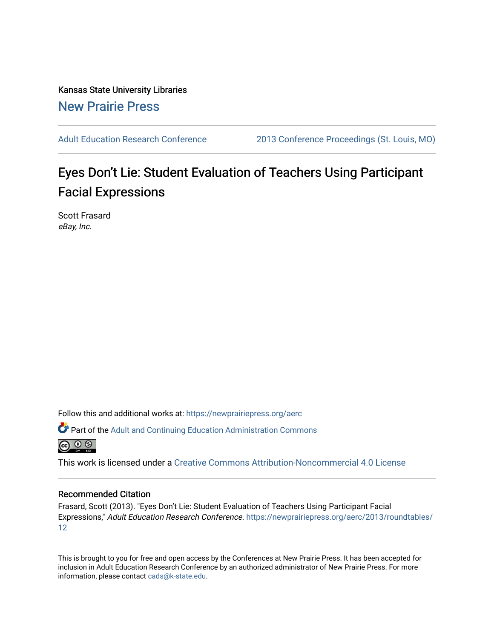Kansas State University Libraries [New Prairie Press](https://newprairiepress.org/) 

[Adult Education Research Conference](https://newprairiepress.org/aerc) [2013 Conference Proceedings \(St. Louis, MO\)](https://newprairiepress.org/aerc/2013) 

# Eyes Don't Lie: Student Evaluation of Teachers Using Participant Facial Expressions

Scott Frasard eBay, Inc.

Follow this and additional works at: [https://newprairiepress.org/aerc](https://newprairiepress.org/aerc?utm_source=newprairiepress.org%2Faerc%2F2013%2Froundtables%2F12&utm_medium=PDF&utm_campaign=PDFCoverPages)

Part of the [Adult and Continuing Education Administration Commons](http://network.bepress.com/hgg/discipline/789?utm_source=newprairiepress.org%2Faerc%2F2013%2Froundtables%2F12&utm_medium=PDF&utm_campaign=PDFCoverPages)



This work is licensed under a [Creative Commons Attribution-Noncommercial 4.0 License](https://creativecommons.org/licenses/by-nc/4.0/)

#### Recommended Citation

Frasard, Scott (2013). "Eyes Don't Lie: Student Evaluation of Teachers Using Participant Facial Expressions," Adult Education Research Conference. [https://newprairiepress.org/aerc/2013/roundtables/](https://newprairiepress.org/aerc/2013/roundtables/12) [12](https://newprairiepress.org/aerc/2013/roundtables/12)

This is brought to you for free and open access by the Conferences at New Prairie Press. It has been accepted for inclusion in Adult Education Research Conference by an authorized administrator of New Prairie Press. For more information, please contact [cads@k-state.edu](mailto:cads@k-state.edu).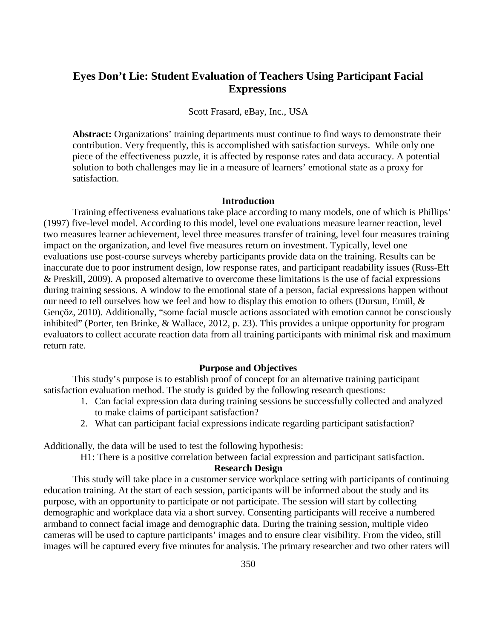## **Eyes Don't Lie: Student Evaluation of Teachers Using Participant Facial Expressions**

Scott Frasard, eBay, Inc., USA

**Abstract:** Organizations' training departments must continue to find ways to demonstrate their contribution. Very frequently, this is accomplished with satisfaction surveys. While only one piece of the effectiveness puzzle, it is affected by response rates and data accuracy. A potential solution to both challenges may lie in a measure of learners' emotional state as a proxy for satisfaction.

#### **Introduction**

Training effectiveness evaluations take place according to many models, one of which is Phillips' (1997) five-level model. According to this model, level one evaluations measure learner reaction, level two measures learner achievement, level three measures transfer of training, level four measures training impact on the organization, and level five measures return on investment. Typically, level one evaluations use post-course surveys whereby participants provide data on the training. Results can be inaccurate due to poor instrument design, low response rates, and participant readability issues (Russ-Eft & Preskill, 2009). A proposed alternative to overcome these limitations is the use of facial expressions during training sessions. A window to the emotional state of a person, facial expressions happen without our need to tell ourselves how we feel and how to display this emotion to others (Dursun, Emül, & Gençöz, 2010). Additionally, "some facial muscle actions associated with emotion cannot be consciously inhibited" (Porter, ten Brinke, & Wallace, 2012, p. 23). This provides a unique opportunity for program evaluators to collect accurate reaction data from all training participants with minimal risk and maximum return rate.

#### **Purpose and Objectives**

This study's purpose is to establish proof of concept for an alternative training participant satisfaction evaluation method. The study is guided by the following research questions:

- 1. Can facial expression data during training sessions be successfully collected and analyzed to make claims of participant satisfaction?
- 2. What can participant facial expressions indicate regarding participant satisfaction?

Additionally, the data will be used to test the following hypothesis:

H1: There is a positive correlation between facial expression and participant satisfaction.

#### **Research Design**

This study will take place in a customer service workplace setting with participants of continuing education training. At the start of each session, participants will be informed about the study and its purpose, with an opportunity to participate or not participate. The session will start by collecting demographic and workplace data via a short survey. Consenting participants will receive a numbered armband to connect facial image and demographic data. During the training session, multiple video cameras will be used to capture participants' images and to ensure clear visibility. From the video, still images will be captured every five minutes for analysis. The primary researcher and two other raters will